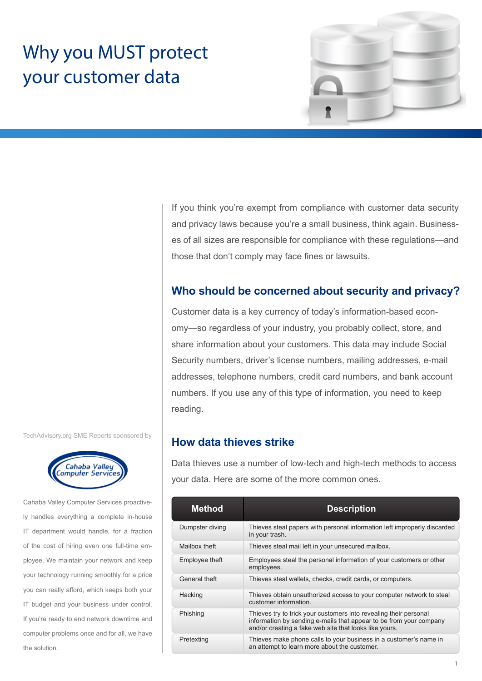# Why you MUST protect your customer data



If you think you're exempt from compliance with customer data security and privacy laws because you're a small business, think again. Businesses of all sizes are responsible for compliance with these regulations—and those that don't comply may face fines or lawsuits.

# **Who should be concerned about security and privacy?**

Customer data is a key currency of today's information-based economy—so regardless of your industry, you probably collect, store, and share information about your customers. This data may include Social Security numbers, driver's license numbers, mailing addresses, e-mail addresses, telephone numbers, credit card numbers, and bank account numbers. If you use any of this type of information, you need to keep reading.

## **How data thieves strike**

Data thieves use a number of low-tech and high-tech methods to access your data. Here are some of the more common ones.

| <b>Method</b>   | <b>Description</b>                                                                                                                                                                                |
|-----------------|---------------------------------------------------------------------------------------------------------------------------------------------------------------------------------------------------|
| Dumpster diving | Thieves steal papers with personal information left improperly discarded<br>in your trash.                                                                                                        |
| Mailbox theft   | Thieves steal mail left in your unsecured mailbox.                                                                                                                                                |
| Employee theft  | Employees steal the personal information of your customers or other<br>employees.                                                                                                                 |
| General theft   | Thieves steal wallets, checks, credit cards, or computers.                                                                                                                                        |
| Hacking         | Thieves obtain unauthorized access to your computer network to steal<br>customer information                                                                                                      |
| Phishing        | Thieves try to trick your customers into revealing their personal<br>information by sending e-mails that appear to be from your company<br>and/or creating a fake web site that looks like yours. |
| Pretexting      | Thieves make phone calls to your business in a customer's name in<br>an attempt to learn more about the customer.                                                                                 |

TechAdvisory.org SME Reports sponsored by



Cahaba Valley Computer Services proactively handles everything a complete in-house IT department would handle, for a fraction of the cost of hiring even one full-time employee. We maintain your network and keep your technology running smoothly for a price you can really afford, which keeps both your IT budget and your business under control. If you're ready to end network downtime and computer problems once and for all, we have the solution.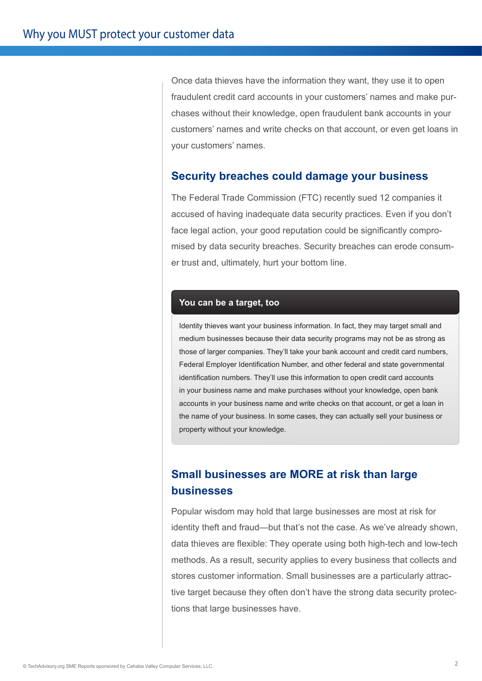Once data thieves have the information they want, they use it to open fraudulent credit card accounts in your customers' names and make purchases without their knowledge, open fraudulent bank accounts in your customers' names and write checks on that account, or even get loans in your customers' names.

#### **Security breaches could damage your business**

The Federal Trade Commission (FTC) recently sued 12 companies it accused of having inadequate data security practices. Even if you don't face legal action, your good reputation could be significantly compromised by data security breaches. Security breaches can erode consumer trust and, ultimately, hurt your bottom line.

#### **You can be a target, too**

Identity thieves want your business information. In fact, they may target small and medium businesses because their data security programs may not be as strong as those of larger companies. They'll take your bank account and credit card numbers, Federal Employer Identification Number, and other federal and state governmental identification numbers. They'll use this information to open credit card accounts in your business name and make purchases without your knowledge, open bank accounts in your business name and write checks on that account, or get a loan in the name of your business. In some cases, they can actually sell your business or property without your knowledge.

# **Small businesses are MORE at risk than large businesses**

Popular wisdom may hold that large businesses are most at risk for identity theft and fraud—but that's not the case. As we've already shown, data thieves are flexible: They operate using both high-tech and low-tech methods. As a result, security applies to every business that collects and stores customer information. Small businesses are a particularly attractive target because they often don't have the strong data security protections that large businesses have.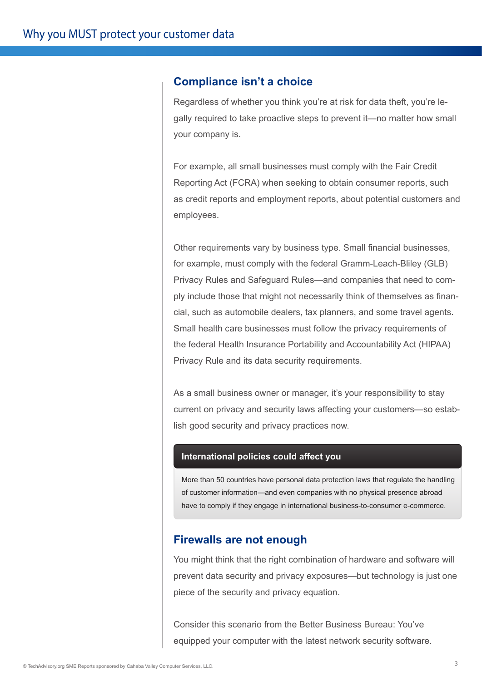### **Compliance isn't a choice**

Regardless of whether you think you're at risk for data theft, you're legally required to take proactive steps to prevent it—no matter how small your company is.

For example, all small businesses must comply with the Fair Credit Reporting Act (FCRA) when seeking to obtain consumer reports, such as credit reports and employment reports, about potential customers and employees.

Other requirements vary by business type. Small financial businesses, for example, must comply with the federal Gramm-Leach-Bliley (GLB) Privacy Rules and Safeguard Rules—and companies that need to comply include those that might not necessarily think of themselves as financial, such as automobile dealers, tax planners, and some travel agents. Small health care businesses must follow the privacy requirements of the federal Health Insurance Portability and Accountability Act (HIPAA) Privacy Rule and its data security requirements.

As a small business owner or manager, it's your responsibility to stay current on privacy and security laws affecting your customers—so establish good security and privacy practices now.

#### **International policies could affect you**

More than 50 countries have personal data protection laws that regulate the handling of customer information—and even companies with no physical presence abroad have to comply if they engage in international business-to-consumer e-commerce.

#### **Firewalls are not enough**

You might think that the right combination of hardware and software will prevent data security and privacy exposures—but technology is just one piece of the security and privacy equation.

Consider this scenario from the Better Business Bureau: You've equipped your computer with the latest network security software.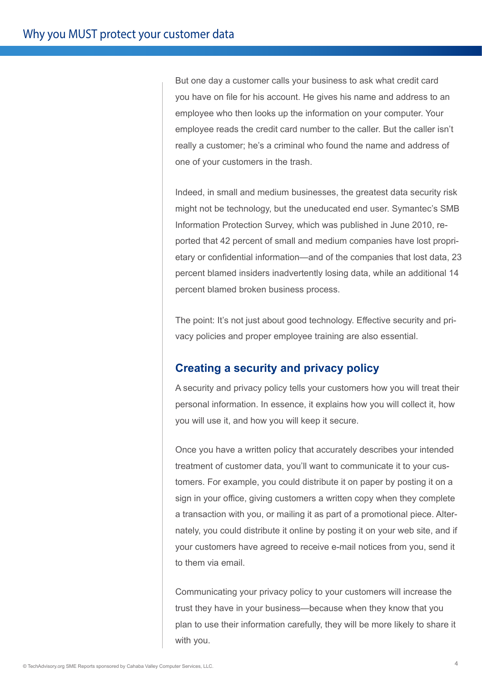But one day a customer calls your business to ask what credit card you have on file for his account. He gives his name and address to an employee who then looks up the information on your computer. Your employee reads the credit card number to the caller. But the caller isn't really a customer; he's a criminal who found the name and address of one of your customers in the trash.

Indeed, in small and medium businesses, the greatest data security risk might not be technology, but the uneducated end user. Symantec's SMB Information Protection Survey, which was published in June 2010, reported that 42 percent of small and medium companies have lost proprietary or confidential information—and of the companies that lost data, 23 percent blamed insiders inadvertently losing data, while an additional 14 percent blamed broken business process.

The point: It's not just about good technology. Effective security and privacy policies and proper employee training are also essential.

# **Creating a security and privacy policy**

A security and privacy policy tells your customers how you will treat their personal information. In essence, it explains how you will collect it, how you will use it, and how you will keep it secure.

Once you have a written policy that accurately describes your intended treatment of customer data, you'll want to communicate it to your customers. For example, you could distribute it on paper by posting it on a sign in your office, giving customers a written copy when they complete a transaction with you, or mailing it as part of a promotional piece. Alternately, you could distribute it online by posting it on your web site, and if your customers have agreed to receive e-mail notices from you, send it to them via email.

Communicating your privacy policy to your customers will increase the trust they have in your business—because when they know that you plan to use their information carefully, they will be more likely to share it with you.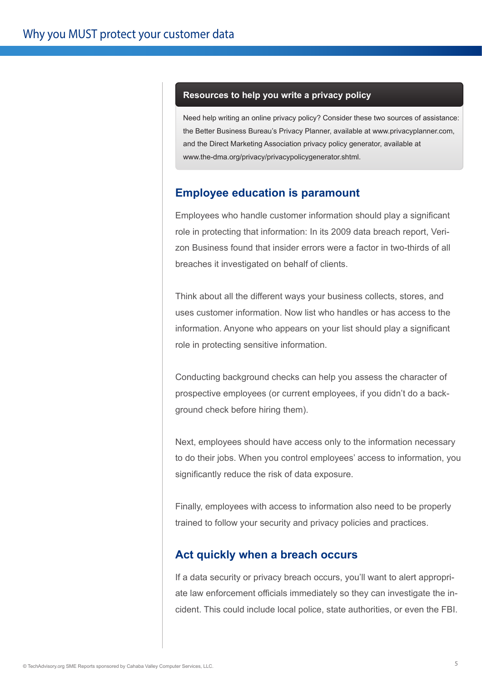#### **Resources to help you write a privacy policy**

Need help writing an online privacy policy? Consider these two sources of assistance: the Better Business Bureau's Privacy Planner, available at www.privacyplanner.com, and the Direct Marketing Association privacy policy generator, available at www.the-dma.org/privacy/privacypolicygenerator.shtml.

## **Employee education is paramount**

Employees who handle customer information should play a significant role in protecting that information: In its 2009 data breach report, Verizon Business found that insider errors were a factor in two-thirds of all breaches it investigated on behalf of clients.

Think about all the different ways your business collects, stores, and uses customer information. Now list who handles or has access to the information. Anyone who appears on your list should play a significant role in protecting sensitive information.

Conducting background checks can help you assess the character of prospective employees (or current employees, if you didn't do a background check before hiring them).

Next, employees should have access only to the information necessary to do their jobs. When you control employees' access to information, you significantly reduce the risk of data exposure.

Finally, employees with access to information also need to be properly trained to follow your security and privacy policies and practices.

#### **Act quickly when a breach occurs**

If a data security or privacy breach occurs, you'll want to alert appropriate law enforcement officials immediately so they can investigate the incident. This could include local police, state authorities, or even the FBI.